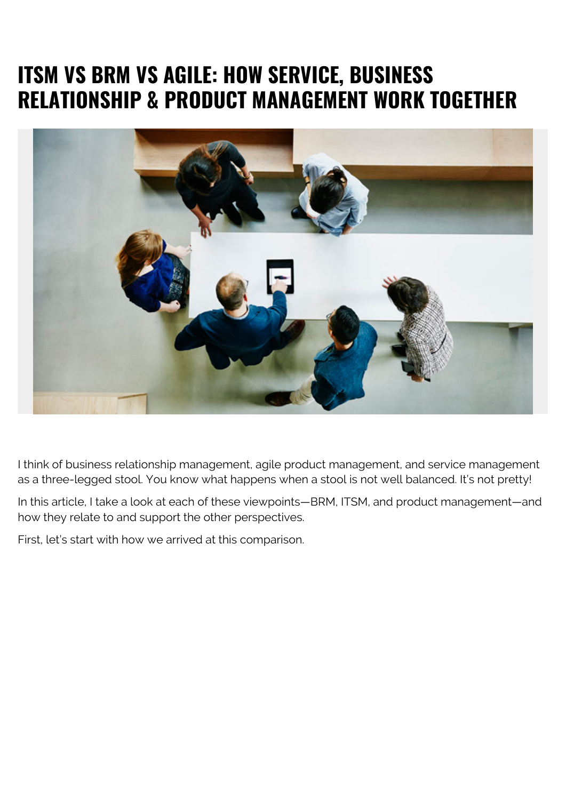# **ITSM VS BRM VS AGILE: HOW SERVICE, BUSINESS RELATIONSHIP & PRODUCT MANAGEMENT WORK TOGETHER**



I think of business relationship management, agile product management, and service management as a three-legged stool. You know what happens when a stool is not well balanced. It's not pretty!

In this article, I take a look at each of these viewpoints—BRM, ITSM, and product management—and how they relate to and support the other perspectives.

First, let's start with how we arrived at this comparison.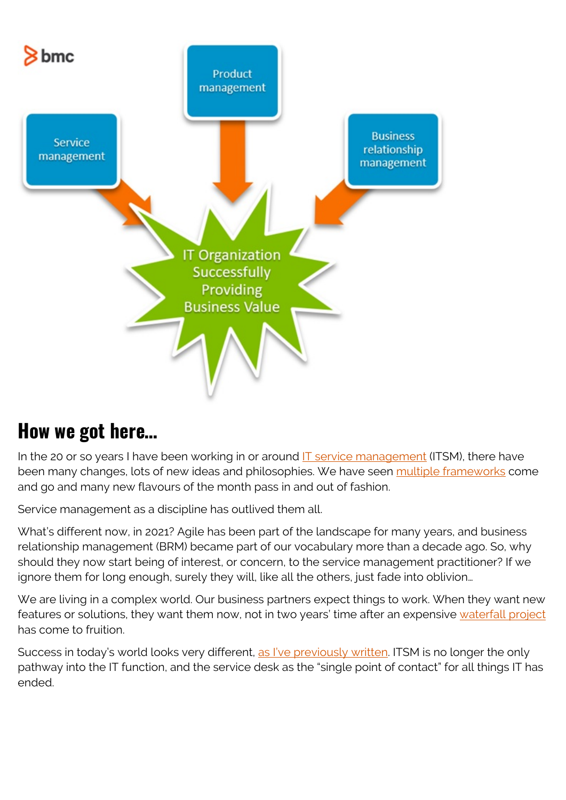

### **How we got here…**

In the 20 or so years I have been working in or around  $IT$  service management (ITSM), there have been many changes, lots of new ideas and philosophies. We have seen [multiple frameworks](https://blogs.bmc.com/blogs/itsm-frameworks-popular/) come and go and many new flavours of the month pass in and out of fashion.

Service management as a discipline has outlived them all.

What's different now, in 2021? Agile has been part of the landscape for many years, and business relationship management (BRM) became part of our vocabulary more than a decade ago. So, why should they now start being of interest, or concern, to the service management practitioner? If we ignore them for long enough, surely they will, like all the others, just fade into oblivion…

We are living in a complex world. Our business partners expect things to work. When they want new features or solutions, they want them now, not in two years' time after an expensive [waterfall project](https://blogs.bmc.com/blogs/agile-vs-waterfall/) has come to fruition.

Success in today's world looks very different, [as I've previously written](https://blogs.bmc.com/blogs/state-of-itsm/). ITSM is no longer the only pathway into the IT function, and the service desk as the "single point of contact" for all things IT has ended.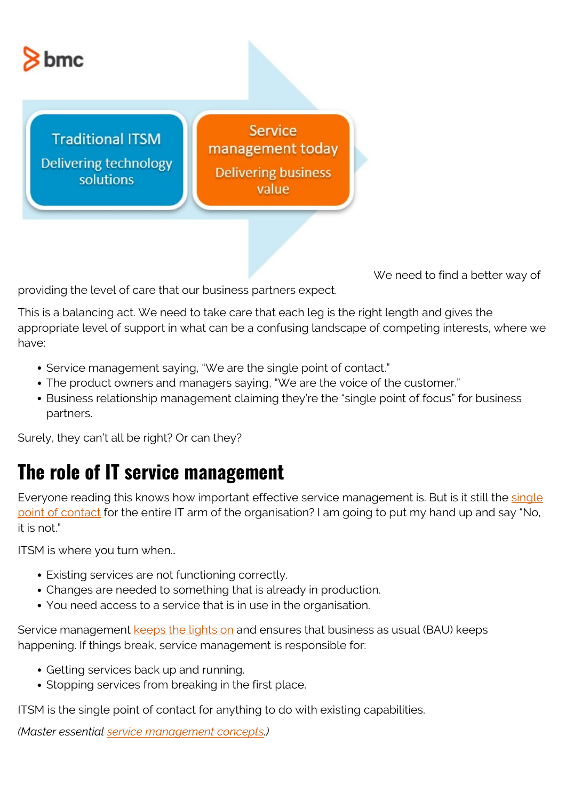

**Traditional ITSM Delivering technology** solutions

Service management today **Delivering business** value

We need to find a better way of

providing the level of care that our business partners expect.

This is a balancing act. We need to take care that each leg is the right length and gives the appropriate level of support in what can be a confusing landscape of competing interests, where we have:

- Service management saying, "We are the single point of contact."
- The product owners and managers saying, "We are the voice of the customer."
- Business relationship management claiming they're the "single point of focus" for business partners.

Surely, they can't all be right? Or can they?

### **The role of IT service management**

Everyone reading this knows how important effective service management is. But is it still the [single](https://blogs.bmc.com/blogs/spoc-single-point-of-contact/) [point of contact](https://blogs.bmc.com/blogs/spoc-single-point-of-contact/) for the entire IT arm of the organisation? I am going to put my hand up and say "No, it is not."

ITSM is where you turn when…

- Existing services are not functioning correctly.
- Changes are needed to something that is already in production.
- You need access to a service that is in use in the organisation.

Service management [keeps the lights on](https://blogs.bmc.com/blogs/keeping-the-lights-on-ktlo/) and ensures that business as usual (BAU) keeps happening. If things break, service management is responsible for:

- Getting services back up and running.
- Stopping services from breaking in the first place.

ITSM is the single point of contact for anything to do with existing capabilities.

*(Master essential [service management concepts.](https://blogs.bmc.com/blogs/itil-key-concepts-service-management/))*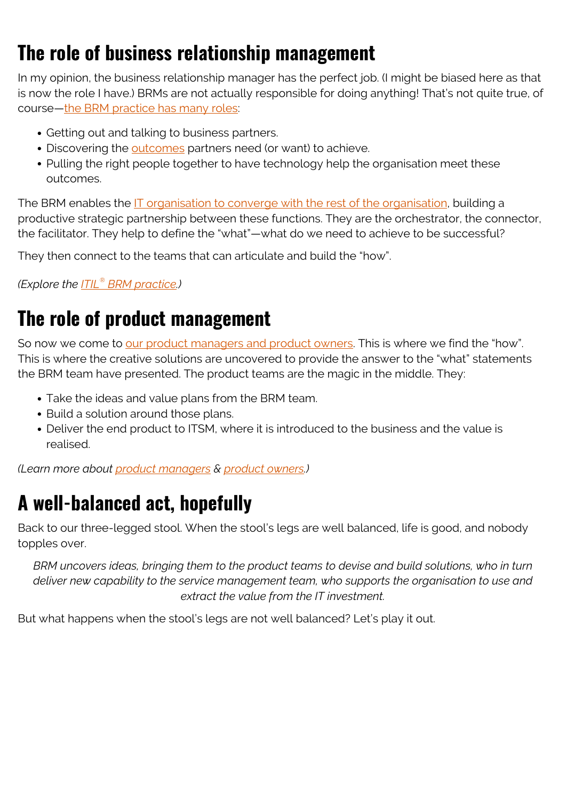# **The role of business relationship management**

In my opinion, the business relationship manager has the perfect job. (I might be biased here as that is now the role I have.) BRMs are not actually responsible for doing anything! That's not quite true, of course—[the BRM practice has many roles](https://blogs.bmc.com/blogs/brm-business-relationship-manager/):

- Getting out and talking to business partners.
- Discovering the **outcomes** partners need (or want) to achieve.
- Pulling the right people together to have technology help the organisation meet these outcomes.

The BRM enables the [IT organisation to converge with the rest of the organisation,](https://blogs.bmc.com/blogs/it-business-alignment/) building a productive strategic partnership between these functions. They are the orchestrator, the connector, the facilitator. They help to define the "what"—what do we need to achieve to be successful?

They then connect to the teams that can articulate and build the "how".

*(Explore the [ITIL](https://blogs.bmc.com/blogs/itil-business-relationship-management/)[®](https://blogs.bmc.com/blogs/itil-business-relationship-management/)  [BRM practice.](https://blogs.bmc.com/blogs/itil-business-relationship-management/))*

## **The role of product management**

So now we come to [our product managers and product owners](https://blogs.bmc.com/blogs/product-owner-vs-product-manager/). This is where we find the "how". This is where the creative solutions are uncovered to provide the answer to the "what" statements the BRM team have presented. The product teams are the magic in the middle. They:

- Take the ideas and value plans from the BRM team.
- Build a solution around those plans.
- Deliver the end product to ITSM, where it is introduced to the business and the value is realised.

*(Learn more about [product managers](https://blogs.bmc.com/blogs/product-manager/) & [product owners.](https://blogs.bmc.com/blogs/product-owners-are-more-than-resources-theyre-teammates/))*

# **A well-balanced act, hopefully**

Back to our three-legged stool. When the stool's legs are well balanced, life is good, and nobody topples over.

*BRM uncovers ideas, bringing them to the product teams to devise and build solutions, who in turn deliver new capability to the service management team, who supports the organisation to use and extract the value from the IT investment.*

But what happens when the stool's legs are not well balanced? Let's play it out.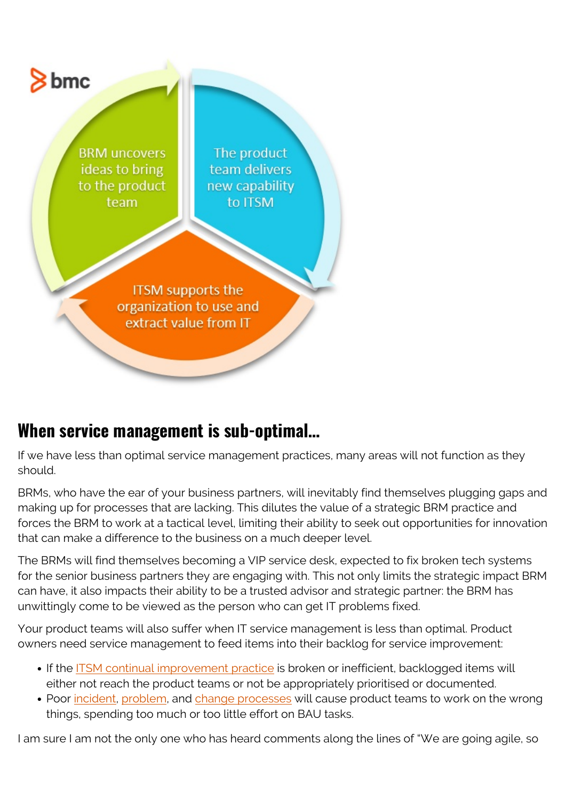

#### **When service management is sub-optimal…**

If we have less than optimal service management practices, many areas will not function as they should.

BRMs, who have the ear of your business partners, will inevitably find themselves plugging gaps and making up for processes that are lacking. This dilutes the value of a strategic BRM practice and forces the BRM to work at a tactical level, limiting their ability to seek out opportunities for innovation that can make a difference to the business on a much deeper level.

The BRMs will find themselves becoming a VIP service desk, expected to fix broken tech systems for the senior business partners they are engaging with. This not only limits the strategic impact BRM can have, it also impacts their ability to be a trusted advisor and strategic partner: the BRM has unwittingly come to be viewed as the person who can get IT problems fixed.

Your product teams will also suffer when IT service management is less than optimal. Product owners need service management to feed items into their backlog for service improvement:

- If the [ITSM continual improvement practice](https://blogs.bmc.com/blogs/itil-continual-improvement/) is broken or inefficient, backlogged items will either not reach the product teams or not be appropriately prioritised or documented.
- Poor [incident](https://blogs.bmc.com/blogs/incident-management/), [problem](https://blogs.bmc.com/blogs/itil-problem-management/), and [change processes](https://blogs.bmc.com/blogs/types-levels-change-management/) will cause product teams to work on the wrong things, spending too much or too little effort on BAU tasks.

I am sure I am not the only one who has heard comments along the lines of "We are going agile, so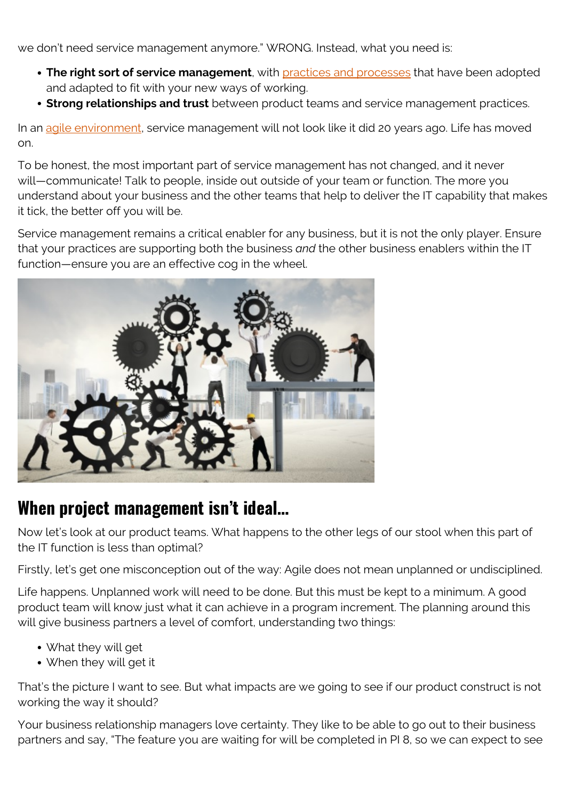we don't need service management anymore." WRONG. Instead, what you need is:

- **The right sort of service management**, with **practices and processes** that have been adopted and adapted to fit with your new ways of working.
- **Strong relationships and trust** between product teams and service management practices.

In an [agile environment,](https://blogs.bmc.com/blogs/scaled-agile-framework-safe-explained/) service management will not look like it did 20 years ago. Life has moved on.

To be honest, the most important part of service management has not changed, and it never will—communicate! Talk to people, inside out outside of your team or function. The more you understand about your business and the other teams that help to deliver the IT capability that makes it tick, the better off you will be.

Service management remains a critical enabler for any business, but it is not the only player. Ensure that your practices are supporting both the business *and* the other business enablers within the IT function—ensure you are an effective cog in the wheel.



#### **When project management isn't ideal…**

Now let's look at our product teams. What happens to the other legs of our stool when this part of the IT function is less than optimal?

Firstly, let's get one misconception out of the way: Agile does not mean unplanned or undisciplined.

Life happens. Unplanned work will need to be done. But this must be kept to a minimum. A good product team will know just what it can achieve in a program increment. The planning around this will give business partners a level of comfort, understanding two things:

- What they will get
- When they will get it

That's the picture I want to see. But what impacts are we going to see if our product construct is not working the way it should?

Your business relationship managers love certainty. They like to be able to go out to their business partners and say, "The feature you are waiting for will be completed in PI 8, so we can expect to see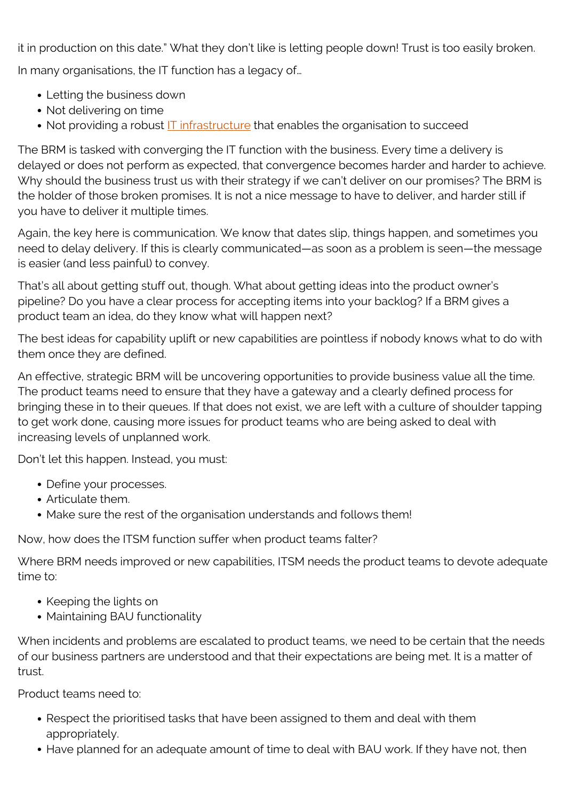it in production on this date." What they don't like is letting people down! Trust is too easily broken. In many organisations, the IT function has a legacy of…

- Letting the business down
- Not delivering on time
- Not providing a robust **IT infrastructure** that enables the organisation to succeed

The BRM is tasked with converging the IT function with the business. Every time a delivery is delayed or does not perform as expected, that convergence becomes harder and harder to achieve. Why should the business trust us with their strategy if we can't deliver on our promises? The BRM is the holder of those broken promises. It is not a nice message to have to deliver, and harder still if you have to deliver it multiple times.

Again, the key here is communication. We know that dates slip, things happen, and sometimes you need to delay delivery. If this is clearly communicated—as soon as a problem is seen—the message is easier (and less painful) to convey.

That's all about getting stuff out, though. What about getting ideas into the product owner's pipeline? Do you have a clear process for accepting items into your backlog? If a BRM gives a product team an idea, do they know what will happen next?

The best ideas for capability uplift or new capabilities are pointless if nobody knows what to do with them once they are defined.

An effective, strategic BRM will be uncovering opportunities to provide business value all the time. The product teams need to ensure that they have a gateway and a clearly defined process for bringing these in to their queues. If that does not exist, we are left with a culture of shoulder tapping to get work done, causing more issues for product teams who are being asked to deal with increasing levels of unplanned work.

Don't let this happen. Instead, you must:

- Define your processes.
- Articulate them.
- Make sure the rest of the organisation understands and follows them!

Now, how does the ITSM function suffer when product teams falter?

Where BRM needs improved or new capabilities, ITSM needs the product teams to devote adequate time to:

- Keeping the lights on
- Maintaining BAU functionality

When incidents and problems are escalated to product teams, we need to be certain that the needs of our business partners are understood and that their expectations are being met. It is a matter of trust.

Product teams need to:

- Respect the prioritised tasks that have been assigned to them and deal with them appropriately.
- Have planned for an adequate amount of time to deal with BAU work. If they have not, then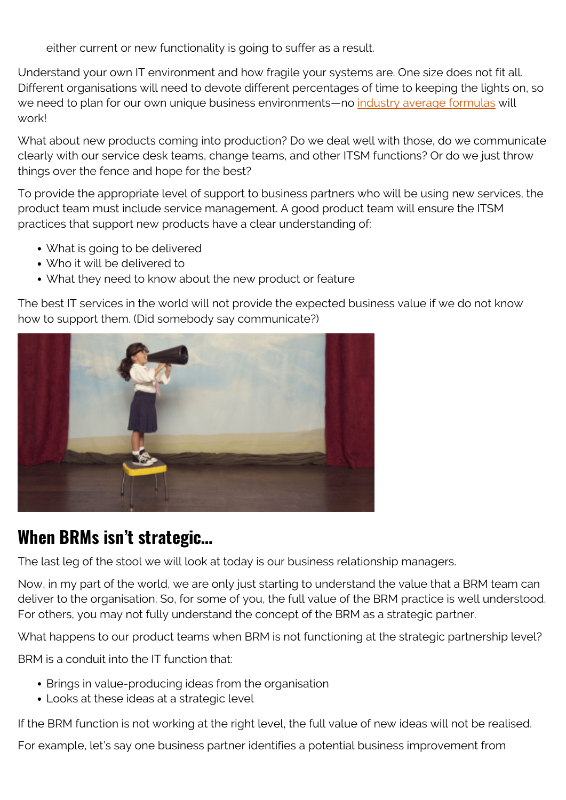either current or new functionality is going to suffer as a result.

Understand your own IT environment and how fragile your systems are. One size does not fit all. Different organisations will need to devote different percentages of time to keeping the lights on, so we need to plan for our own unique business environments—no [industry average formulas](https://blogs.bmc.com/blogs/it-benchmarking-metrics/) will work!

What about new products coming into production? Do we deal well with those, do we communicate clearly with our service desk teams, change teams, and other ITSM functions? Or do we just throw things over the fence and hope for the best?

To provide the appropriate level of support to business partners who will be using new services, the product team must include service management. A good product team will ensure the ITSM practices that support new products have a clear understanding of:

- What is going to be delivered
- Who it will be delivered to
- What they need to know about the new product or feature

The best IT services in the world will not provide the expected business value if we do not know how to support them. (Did somebody say communicate?)



#### **When BRMs isn't strategic…**

The last leg of the stool we will look at today is our business relationship managers.

Now, in my part of the world, we are only just starting to understand the value that a BRM team can deliver to the organisation. So, for some of you, the full value of the BRM practice is well understood. For others, you may not fully understand the concept of the BRM as a strategic partner.

What happens to our product teams when BRM is not functioning at the strategic partnership level?

BRM is a conduit into the IT function that:

- Brings in value-producing ideas from the organisation
- Looks at these ideas at a strategic level

If the BRM function is not working at the right level, the full value of new ideas will not be realised.

For example, let's say one business partner identifies a potential business improvement from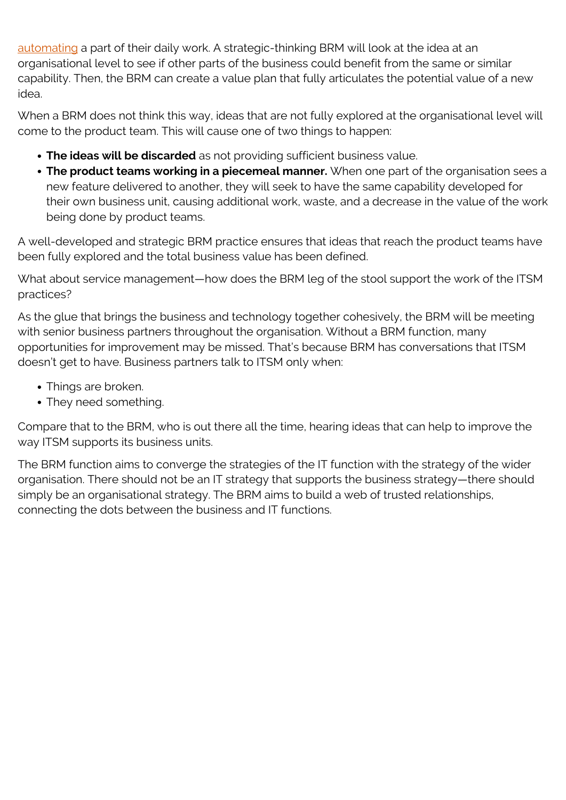[automating](https://blogs.bmc.com/blogs/it-automation/) a part of their daily work. A strategic-thinking BRM will look at the idea at an organisational level to see if other parts of the business could benefit from the same or similar capability. Then, the BRM can create a value plan that fully articulates the potential value of a new idea.

When a BRM does not think this way, ideas that are not fully explored at the organisational level will come to the product team. This will cause one of two things to happen:

- **The ideas will be discarded** as not providing sufficient business value.
- **The product teams working in a piecemeal manner.** When one part of the organisation sees a new feature delivered to another, they will seek to have the same capability developed for their own business unit, causing additional work, waste, and a decrease in the value of the work being done by product teams.

A well-developed and strategic BRM practice ensures that ideas that reach the product teams have been fully explored and the total business value has been defined.

What about service management—how does the BRM leg of the stool support the work of the ITSM practices?

As the glue that brings the business and technology together cohesively, the BRM will be meeting with senior business partners throughout the organisation. Without a BRM function, many opportunities for improvement may be missed. That's because BRM has conversations that ITSM doesn't get to have. Business partners talk to ITSM only when:

- Things are broken.
- They need something.

Compare that to the BRM, who is out there all the time, hearing ideas that can help to improve the way ITSM supports its business units.

The BRM function aims to converge the strategies of the IT function with the strategy of the wider organisation. There should not be an IT strategy that supports the business strategy—there should simply be an organisational strategy. The BRM aims to build a web of trusted relationships, connecting the dots between the business and IT functions.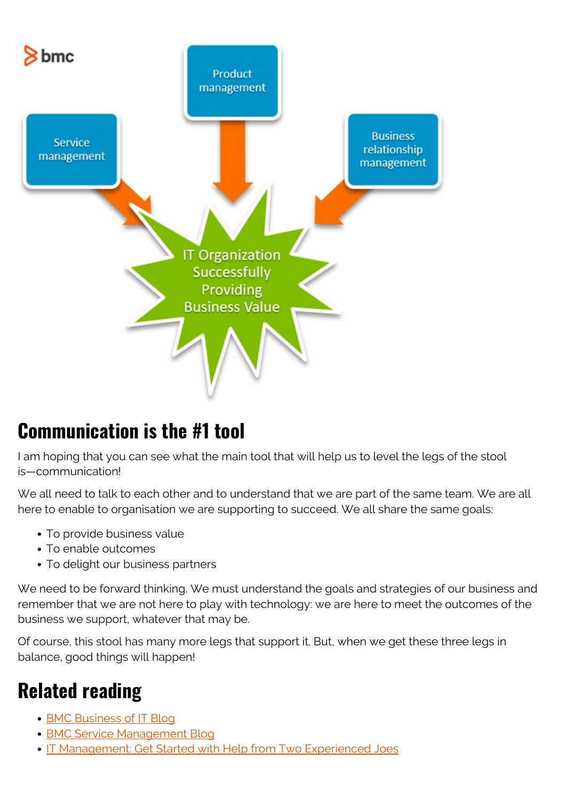

### **Communication is the #1 tool**

I am hoping that you can see what the main tool that will help us to level the legs of the stool is—communication!

We all need to talk to each other and to understand that we are part of the same team. We are all here to enable to organisation we are supporting to succeed. We all share the same goals:

- To provide business value
- To enable outcomes
- To delight our business partners

We need to be forward thinking. We must understand the goals and strategies of our business and remember that we are not here to play with technology: we are here to meet the outcomes of the business we support, whatever that may be.

Of course, this stool has many more legs that support it. But, when we get these three legs in balance, good things will happen!

## **Related reading**

- [BMC Business of IT Blog](https://blogs.bmc.com/blogs/categories/business-of-it/)
- **[BMC Service Management Blog](https://blogs.bmc.com/blogs/categories/itsm/)**
- [IT Management: Get Started with Help from Two Experienced Joes](https://blogs.bmc.com/blogs/it-management/)